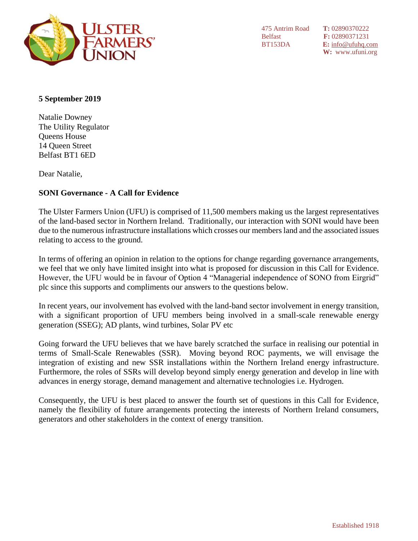

475 Antrim Road **T:** 02890370222

Belfast **F:** 02890371231 BT153DA **E:** [info@ufuhq.com](mailto:info@ufuhq.com) **W:** www.ufuni.org

## **5 September 2019**

Natalie Downey The Utility Regulator Queens House 14 Queen Street Belfast BT1 6ED

Dear Natalie,

# **SONI Governance - A Call for Evidence**

The Ulster Farmers Union (UFU) is comprised of 11,500 members making us the largest representatives of the land-based sector in Northern Ireland. Traditionally, our interaction with SONI would have been due to the numerous infrastructure installations which crosses our members land and the associated issues relating to access to the ground.

In terms of offering an opinion in relation to the options for change regarding governance arrangements, we feel that we only have limited insight into what is proposed for discussion in this Call for Evidence. However, the UFU would be in favour of Option 4 "Managerial independence of SONO from Eirgrid" plc since this supports and compliments our answers to the questions below.

In recent years, our involvement has evolved with the land-band sector involvement in energy transition, with a significant proportion of UFU members being involved in a small-scale renewable energy generation (SSEG); AD plants, wind turbines, Solar PV etc

Going forward the UFU believes that we have barely scratched the surface in realising our potential in terms of Small-Scale Renewables (SSR). Moving beyond ROC payments, we will envisage the integration of existing and new SSR installations within the Northern Ireland energy infrastructure. Furthermore, the roles of SSRs will develop beyond simply energy generation and develop in line with advances in energy storage, demand management and alternative technologies i.e. Hydrogen.

Consequently, the UFU is best placed to answer the fourth set of questions in this Call for Evidence, namely the flexibility of future arrangements protecting the interests of Northern Ireland consumers, generators and other stakeholders in the context of energy transition.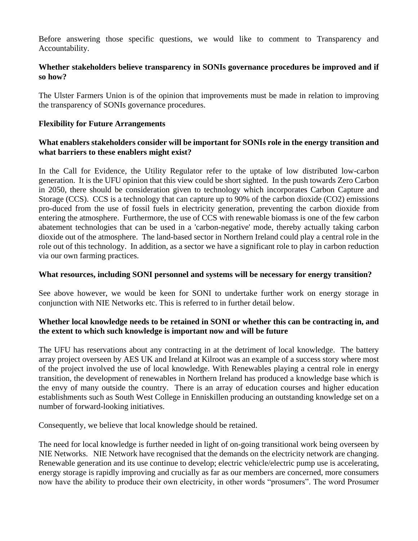Before answering those specific questions, we would like to comment to Transparency and Accountability.

# **Whether stakeholders believe transparency in SONIs governance procedures be improved and if so how?**

The Ulster Farmers Union is of the opinion that improvements must be made in relation to improving the transparency of SONIs governance procedures.

# **Flexibility for Future Arrangements**

## **What enablers stakeholders consider will be important for SONIs role in the energy transition and what barriers to these enablers might exist?**

In the Call for Evidence, the Utility Regulator refer to the uptake of low distributed low-carbon generation. It is the UFU opinion that this view could be short sighted. In the push towards Zero Carbon in 2050, there should be consideration given to technology which incorporates Carbon Capture and Storage (CCS). CCS is a technology that can capture up to 90% of the carbon dioxide (CO2) emissions pro-duced from the use of fossil fuels in electricity generation, preventing the carbon dioxide from entering the atmosphere. Furthermore, the use of CCS with renewable biomass is one of the few carbon abatement technologies that can be used in a 'carbon-negative' mode, thereby actually taking carbon dioxide out of the atmosphere. The land-based sector in Northern Ireland could play a central role in the role out of this technology. In addition, as a sector we have a significant role to play in carbon reduction via our own farming practices.

#### **What resources, including SONI personnel and systems will be necessary for energy transition?**

See above however, we would be keen for SONI to undertake further work on energy storage in conjunction with NIE Networks etc. This is referred to in further detail below.

# **Whether local knowledge needs to be retained in SONI or whether this can be contracting in, and the extent to which such knowledge is important now and will be future**

The UFU has reservations about any contracting in at the detriment of local knowledge. The battery array project overseen by AES UK and Ireland at Kilroot was an example of a success story where most of the project involved the use of local knowledge. With Renewables playing a central role in energy transition, the development of renewables in Northern Ireland has produced a knowledge base which is the envy of many outside the country. There is an array of education courses and higher education establishments such as South West College in Enniskillen producing an outstanding knowledge set on a number of forward-looking initiatives.

Consequently, we believe that local knowledge should be retained.

The need for local knowledge is further needed in light of on-going transitional work being overseen by NIE Networks. NIE Network have recognised that the demands on the electricity network are changing. Renewable generation and its use continue to develop; electric vehicle/electric pump use is accelerating, energy storage is rapidly improving and crucially as far as our members are concerned, more consumers now have the ability to produce their own electricity, in other words "prosumers". The word Prosumer